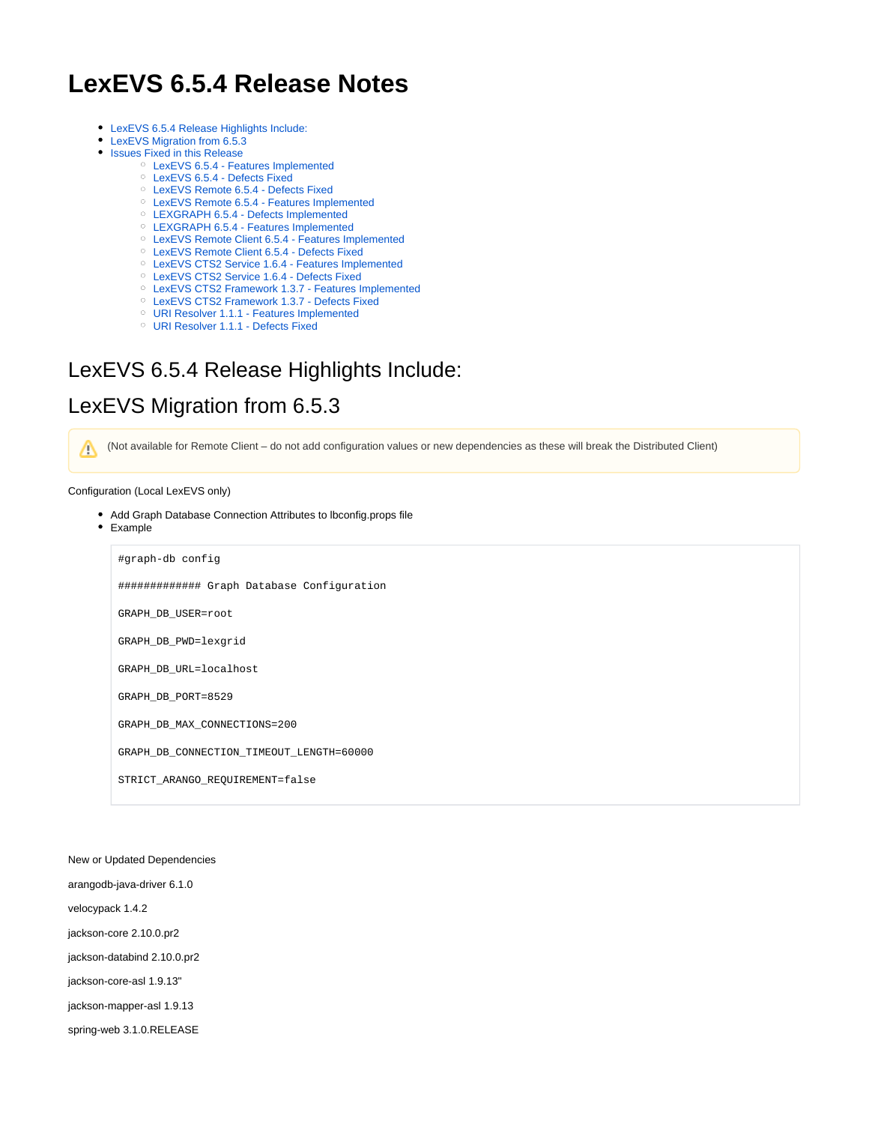# **LexEVS 6.5.4 Release Notes**

- [LexEVS 6.5.4 Release Highlights Include:](#page-0-0)
- [LexEVS Migration from 6.5.3](#page-0-1)
- [Issues Fixed in this Release](#page-0-2)
	- [LexEVS 6.5.4 Features Implemented](#page-1-0)
	- [LexEVS 6.5.4 Defects Fixed](#page-1-1)
	- [LexEVS Remote 6.5.4 Defects Fixed](#page-1-2)
	- [LexEVS Remote 6.5.4 Features Implemented](#page-1-3)
	- [LEXGRAPH 6.5.4 Defects Implemented](#page-1-4)
	- [LEXGRAPH 6.5.4 Features Implemented](#page-1-5) [LexEVS Remote Client 6.5.4 - Features Implemented](#page-1-6)
	- <sup>o</sup> [LexEVS Remote Client 6.5.4 Defects Fixed](#page-1-7)
	- [LexEVS CTS2 Service 1.6.4 Features Implemented](#page-1-8)
	- [LexEVS CTS2 Service 1.6.4 Defects Fixed](#page-1-9)
	- [LexEVS CTS2 Framework 1.3.7 Features Implemented](#page-2-0)
	- [LexEVS CTS2 Framework 1.3.7 Defects Fixed](#page-2-1)
	- [URI Resolver 1.1.1 Features Implemented](#page-2-2)
	- [URI Resolver 1.1.1 Defects Fixed](#page-2-3)

### <span id="page-0-0"></span>LexEVS 6.5.4 Release Highlights Include:

### <span id="page-0-1"></span>LexEVS Migration from 6.5.3

(Not available for Remote Client – do not add configuration values or new dependencies as these will break the Distributed Client)Δ

#### Configuration (Local LexEVS only)

- Add Graph Database Connection Attributes to lbconfig.props file
- Example

#graph-db config ############# Graph Database Configuration GRAPH\_DB\_USER=root GRAPH\_DB\_PWD=lexgrid GRAPH\_DB\_URL=localhost GRAPH\_DB\_PORT=8529

GRAPH\_DB\_MAX\_CONNECTIONS=200

GRAPH\_DB\_CONNECTION\_TIMEOUT\_LENGTH=60000

STRICT\_ARANGO\_REQUIREMENT=false

New or Updated Dependencies

arangodb-java-driver 6.1.0

velocypack 1.4.2

jackson-core 2.10.0.pr2

jackson-databind 2.10.0.pr2

jackson-core-asl 1.9.13"

jackson-mapper-asl 1.9.13

<span id="page-0-2"></span>spring-web 3.1.0.RELEASE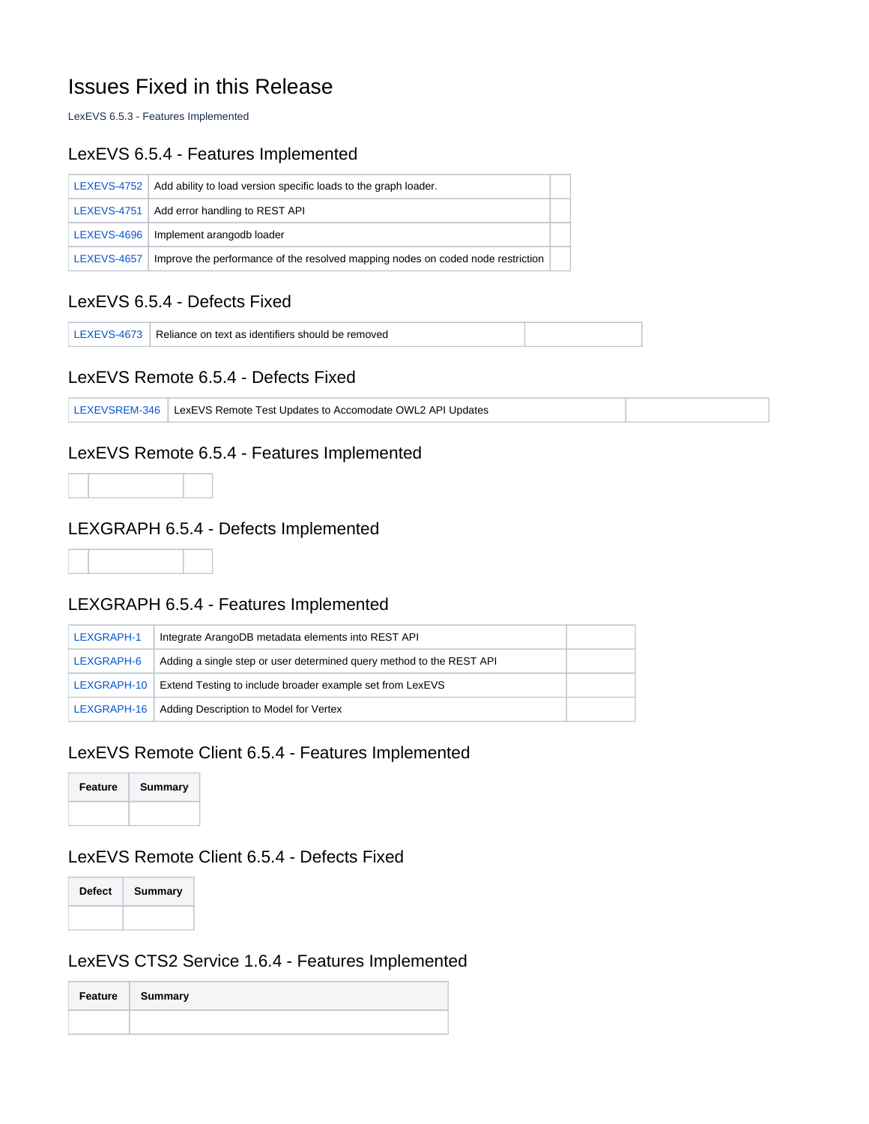# Issues Fixed in this Release

LexEVS 6.5.3 - Features Implemented

#### <span id="page-1-0"></span>LexEVS 6.5.4 - Features Implemented

|                    | $LEXEVS-4752$ Add ability to load version specific loads to the graph loader.   |  |
|--------------------|---------------------------------------------------------------------------------|--|
|                    | LEXEVS-4751   Add error handling to REST API                                    |  |
|                    | LEXEVS-4696   Implement arangodb loader                                         |  |
| <b>LEXEVS-4657</b> | Improve the performance of the resolved mapping nodes on coded node restriction |  |

#### <span id="page-1-1"></span>LexEVS 6.5.4 - Defects Fixed

[LEXEVS-4673](https://tracker.nci.nih.gov/browse/LEXEVS-4673) Reliance on text as identifiers should be removed

#### <span id="page-1-2"></span>LexEVS Remote 6.5.4 - Defects Fixed

|  | LEXEVSREM-346 LexEVS Remote Test Updates to Accomodate OWL2 API Updates |  |
|--|-------------------------------------------------------------------------|--|
|--|-------------------------------------------------------------------------|--|

#### <span id="page-1-3"></span>LexEVS Remote 6.5.4 - Features Implemented



# <span id="page-1-4"></span>LEXGRAPH 6.5.4 - Defects Implemented

#### <span id="page-1-5"></span>LEXGRAPH 6.5.4 - Features Implemented

| LEXGRAPH-1 | Integrate ArangoDB metadata elements into REST API                      |  |
|------------|-------------------------------------------------------------------------|--|
| LEXGRAPH-6 | Adding a single step or user determined query method to the REST API    |  |
|            | LEXGRAPH-10   Extend Testing to include broader example set from LexEVS |  |
|            | LEXGRAPH-16   Adding Description to Model for Vertex                    |  |

### <span id="page-1-6"></span>LexEVS Remote Client 6.5.4 - Features Implemented



#### <span id="page-1-7"></span>LexEVS Remote Client 6.5.4 - Defects Fixed



#### <span id="page-1-8"></span>LexEVS CTS2 Service 1.6.4 - Features Implemented

<span id="page-1-9"></span>

| Feature Summary |
|-----------------|
|                 |